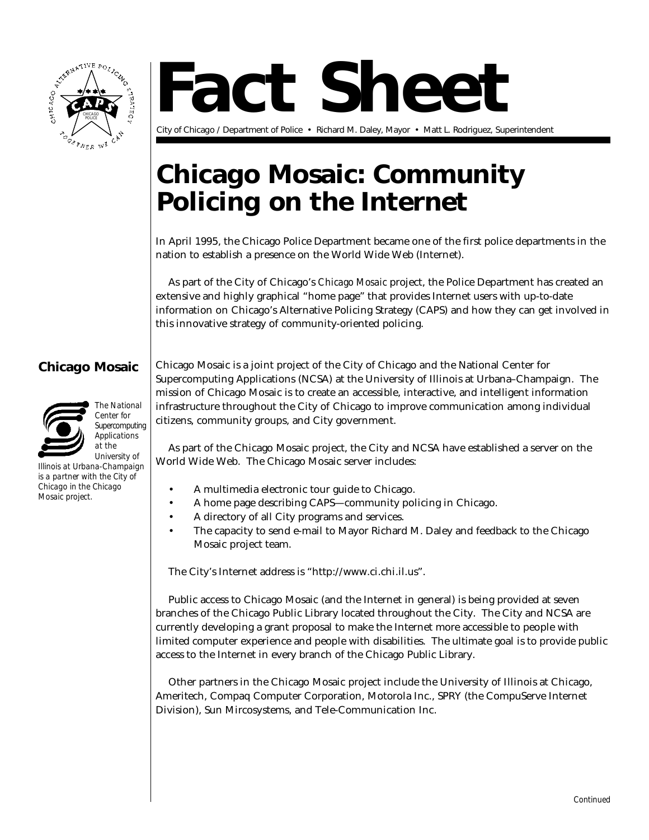

# **Fact Sheet**

City of Chicago / Department of Police • Richard M. Daley, Mayor • Matt L. Rodriguez, Superintendent

# **Chicago Mosaic: Community Policing on the Internet**

In April 1995, the Chicago Police Department became one of the first police departments in the nation to establish a presence on the World Wide Web (Internet).

As part of the City of Chicago's *Chicago Mosaic* project, the Police Department has created an extensive and highly graphical "home page" that provides Internet users with up-to-date information on Chicago's Alternative Policing Strategy (CAPS) and how they can get involved in this innovative strategy of community-oriented policing.

## **Chicago Mosaic**



*The National Center for Supercomputing Applications at the*

*University of Illinois at Urbana-Champaign is a partner with the City of Chicago in the Chicago Mosaic project.*

Chicago Mosaic is a joint project of the City of Chicago and the National Center for Supercomputing Applications (NCSA) at the University of Illinois at Urbana–Champaign. The mission of Chicago Mosaic is to create an accessible, interactive, and intelligent information infrastructure throughout the City of Chicago to improve communication among individual citizens, community groups, and City government.

As part of the Chicago Mosaic project, the City and NCSA have established a server on the World Wide Web. The Chicago Mosaic server includes:

- A multimedia electronic tour guide to Chicago.
- A home page describing CAPS—community policing in Chicago.
- A directory of all City programs and services.
- The capacity to send e-mail to Mayor Richard M. Daley and feedback to the Chicago Mosaic project team.

The City's Internet address is "http://www.ci.chi.il.us".

Public access to Chicago Mosaic (and the Internet in general) is being provided at seven branches of the Chicago Public Library located throughout the City. The City and NCSA are currently developing a grant proposal to make the Internet more accessible to people with limited computer experience and people with disabilities. The ultimate goal is to provide public access to the Internet in every branch of the Chicago Public Library.

Other partners in the Chicago Mosaic project include the University of Illinois at Chicago, Ameritech, Compaq Computer Corporation, Motorola Inc., SPRY (the CompuServe Internet Division), Sun Mircosystems, and Tele-Communication Inc.